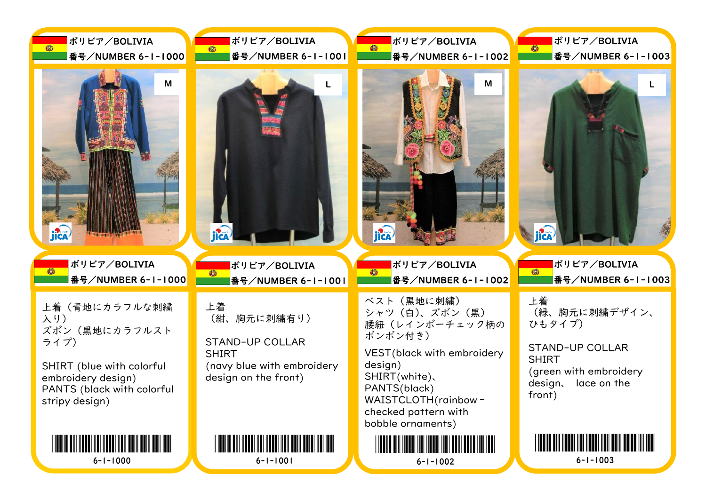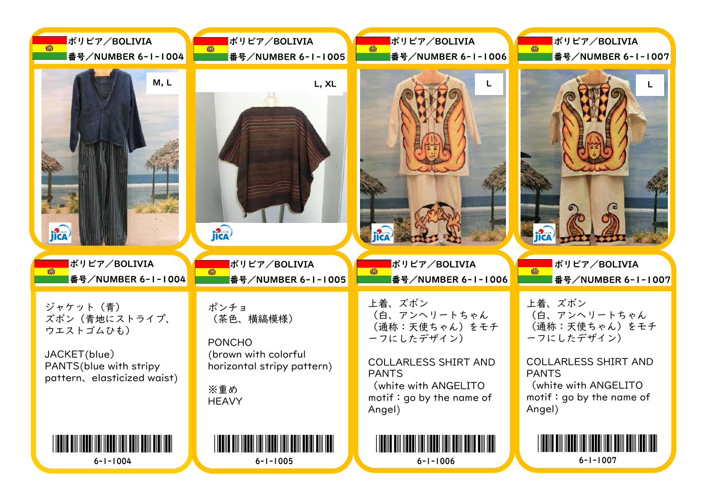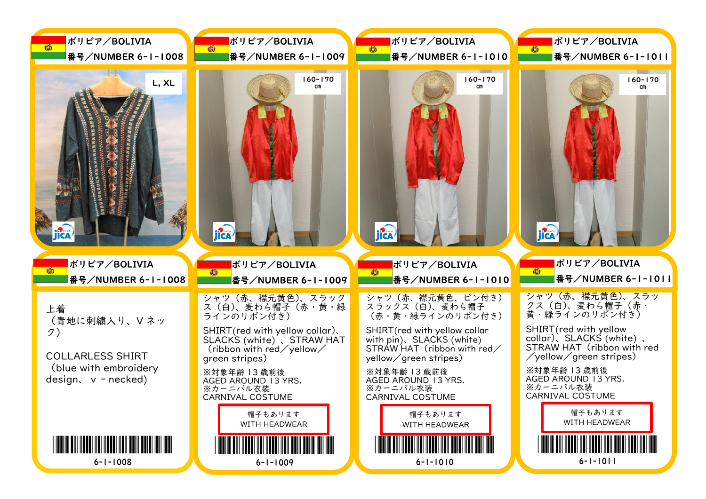